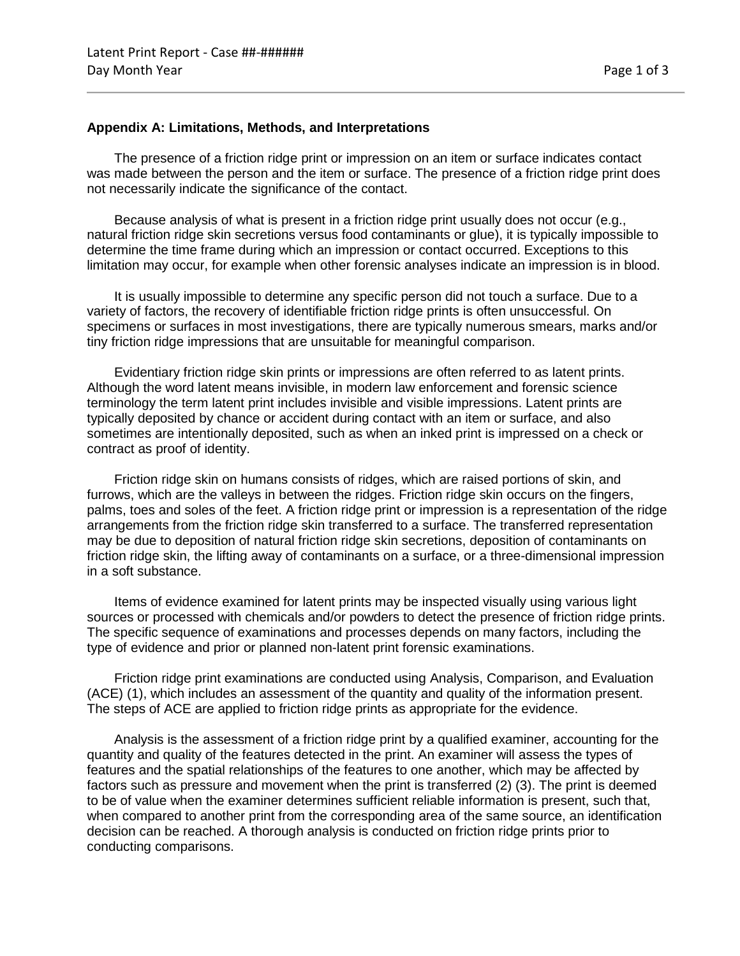## **Appendix A: Limitations, Methods, and Interpretations**

The presence of a friction ridge print or impression on an item or surface indicates contact was made between the person and the item or surface. The presence of a friction ridge print does not necessarily indicate the significance of the contact.

Because analysis of what is present in a friction ridge print usually does not occur (e.g., natural friction ridge skin secretions versus food contaminants or glue), it is typically impossible to determine the time frame during which an impression or contact occurred. Exceptions to this limitation may occur, for example when other forensic analyses indicate an impression is in blood.

It is usually impossible to determine any specific person did not touch a surface. Due to a variety of factors, the recovery of identifiable friction ridge prints is often unsuccessful. On specimens or surfaces in most investigations, there are typically numerous smears, marks and/or tiny friction ridge impressions that are unsuitable for meaningful comparison.

Evidentiary friction ridge skin prints or impressions are often referred to as latent prints. Although the word latent means invisible, in modern law enforcement and forensic science terminology the term latent print includes invisible and visible impressions. Latent prints are typically deposited by chance or accident during contact with an item or surface, and also sometimes are intentionally deposited, such as when an inked print is impressed on a check or contract as proof of identity.

Friction ridge skin on humans consists of ridges, which are raised portions of skin, and furrows, which are the valleys in between the ridges. Friction ridge skin occurs on the fingers, palms, toes and soles of the feet. A friction ridge print or impression is a representation of the ridge arrangements from the friction ridge skin transferred to a surface. The transferred representation may be due to deposition of natural friction ridge skin secretions, deposition of contaminants on friction ridge skin, the lifting away of contaminants on a surface, or a three-dimensional impression in a soft substance.

Items of evidence examined for latent prints may be inspected visually using various light sources or processed with chemicals and/or powders to detect the presence of friction ridge prints. The specific sequence of examinations and processes depends on many factors, including the type of evidence and prior or planned non-latent print forensic examinations.

Friction ridge print examinations are conducted using Analysis, Comparison, and Evaluation (ACE) (1), which includes an assessment of the quantity and quality of the information present. The steps of ACE are applied to friction ridge prints as appropriate for the evidence.

Analysis is the assessment of a friction ridge print by a qualified examiner, accounting for the quantity and quality of the features detected in the print. An examiner will assess the types of features and the spatial relationships of the features to one another, which may be affected by factors such as pressure and movement when the print is transferred (2) (3). The print is deemed to be of value when the examiner determines sufficient reliable information is present, such that, when compared to another print from the corresponding area of the same source, an identification decision can be reached. A thorough analysis is conducted on friction ridge prints prior to conducting comparisons.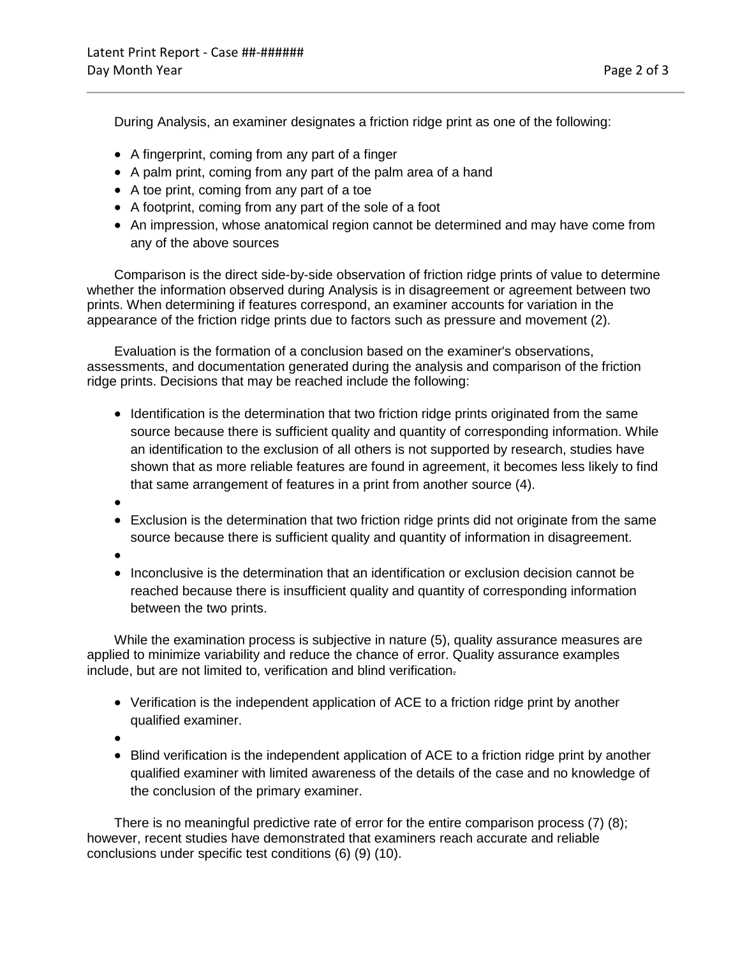During Analysis, an examiner designates a friction ridge print as one of the following:

- A fingerprint, coming from any part of a finger
- A palm print, coming from any part of the palm area of a hand
- A toe print, coming from any part of a toe
- A footprint, coming from any part of the sole of a foot
- An impression, whose anatomical region cannot be determined and may have come from any of the above sources

Comparison is the direct side-by-side observation of friction ridge prints of value to determine whether the information observed during Analysis is in disagreement or agreement between two prints. When determining if features correspond, an examiner accounts for variation in the appearance of the friction ridge prints due to factors such as pressure and movement (2).

Evaluation is the formation of a conclusion based on the examiner's observations, assessments, and documentation generated during the analysis and comparison of the friction ridge prints. Decisions that may be reached include the following:

- Identification is the determination that two friction ridge prints originated from the same source because there is sufficient quality and quantity of corresponding information. While an identification to the exclusion of all others is not supported by research, studies have shown that as more reliable features are found in agreement, it becomes less likely to find that same arrangement of features in a print from another source (4).
- •
- Exclusion is the determination that two friction ridge prints did not originate from the same source because there is sufficient quality and quantity of information in disagreement.
- •
- Inconclusive is the determination that an identification or exclusion decision cannot be reached because there is insufficient quality and quantity of corresponding information between the two prints.

While the examination process is subjective in nature (5), quality assurance measures are applied to minimize variability and reduce the chance of error. Quality assurance examples include, but are not limited to, verification and blind verification.

- Verification is the independent application of ACE to a friction ridge print by another qualified examiner.
- •
- Blind verification is the independent application of ACE to a friction ridge print by another qualified examiner with limited awareness of the details of the case and no knowledge of the conclusion of the primary examiner.

There is no meaningful predictive rate of error for the entire comparison process (7) (8); however, recent studies have demonstrated that examiners reach accurate and reliable conclusions under specific test conditions (6) (9) (10).